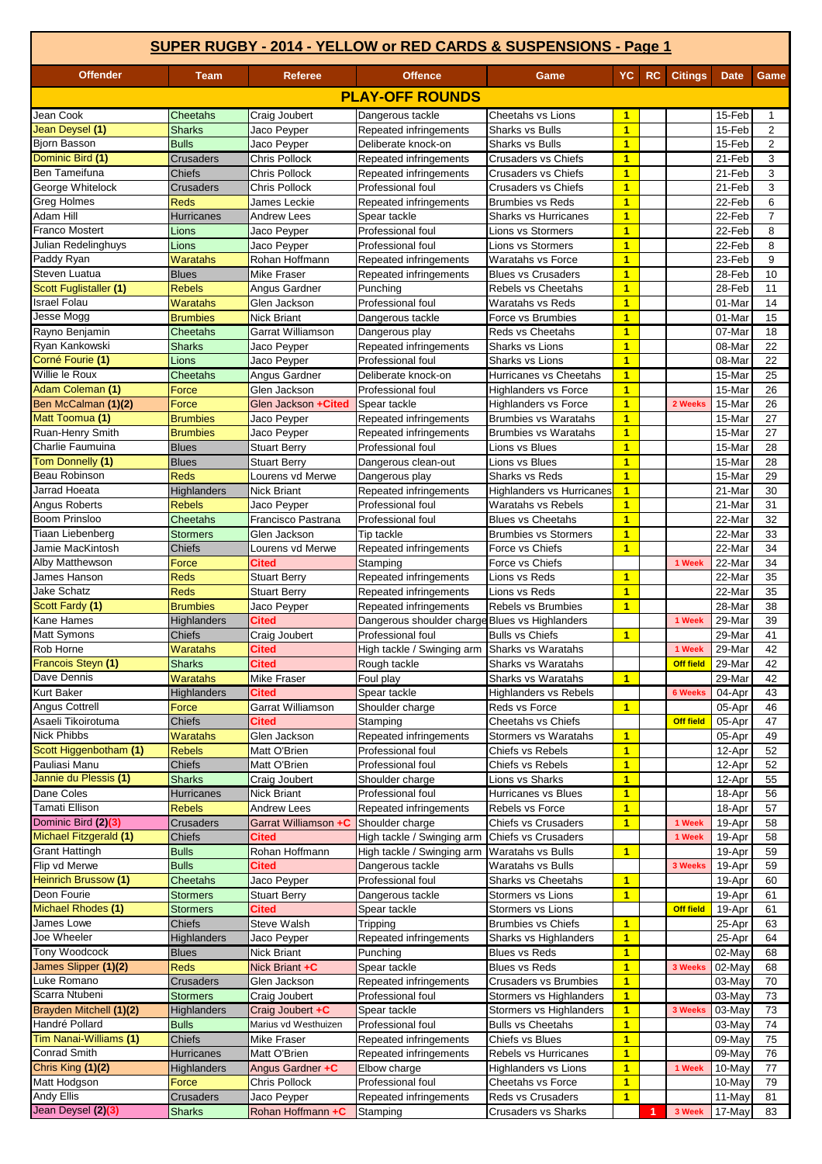|                                         | SUPER RUGBY - 2014 - YELLOW or RED CARDS & SUSPENSIONS - Page 1 |                                            |                                                  |                                                        |                                           |    |                  |                  |                     |
|-----------------------------------------|-----------------------------------------------------------------|--------------------------------------------|--------------------------------------------------|--------------------------------------------------------|-------------------------------------------|----|------------------|------------------|---------------------|
| <b>Offender</b>                         | <b>Team</b>                                                     | <b>Referee</b>                             | <b>Offence</b>                                   | Game                                                   | YC.                                       | RC | <b>Citings</b>   | <b>Date</b>      | Game                |
|                                         |                                                                 |                                            | <b>PLAY-OFF ROUNDS</b>                           |                                                        |                                           |    |                  |                  |                     |
| Jean Cook                               | <b>Cheetahs</b>                                                 | Craig Joubert                              | Dangerous tackle                                 | Cheetahs vs Lions                                      | 1                                         |    |                  | 15-Feb           | $\mathbf{1}$        |
| Jean Deysel (1)                         | <b>Sharks</b>                                                   | Jaco Peyper                                | Repeated infringements                           | <b>Sharks vs Bulls</b>                                 | $\overline{1}$                            |    |                  | 15-Feb           | 2                   |
| <b>Bjorn Basson</b>                     | <b>Bulls</b>                                                    | Jaco Peyper                                | Deliberate knock-on                              | <b>Sharks vs Bulls</b>                                 | $\overline{1}$                            |    |                  | 15-Feb           | $\overline{2}$      |
| Dominic Bird (1)                        | <b>Crusaders</b>                                                | <b>Chris Pollock</b>                       | Repeated infringements                           | <b>Crusaders vs Chiefs</b>                             | $\mathbf{1}$                              |    |                  | 21-Feb           | 3                   |
| <b>Ben Tameifuna</b>                    | <b>Chiefs</b>                                                   | <b>Chris Pollock</b>                       | Repeated infringements                           | Crusaders vs Chiefs                                    | $\overline{1}$                            |    |                  | 21-Feb           | 3                   |
| George Whitelock                        | <b>Crusaders</b>                                                | <b>Chris Pollock</b>                       | Professional foul                                | <b>Crusaders vs Chiefs</b>                             | $\overline{1}$                            |    |                  | 21-Feb           | 3                   |
| <b>Greg Holmes</b><br>Adam Hill         | <b>Reds</b><br>Hurricanes                                       | James Leckie<br><b>Andrew Lees</b>         | Repeated infringements<br>Spear tackle           | <b>Brumbies vs Reds</b><br><b>Sharks vs Hurricanes</b> | $\overline{1}$<br>$\overline{\mathbf{1}}$ |    |                  | 22-Feb<br>22-Feb | 6<br>$\overline{7}$ |
| <b>Franco Mostert</b>                   | Lions                                                           | Jaco Peyper                                | Professional foul                                | <b>Lions vs Stormers</b>                               | $\overline{1}$                            |    |                  | 22-Feb           | 8                   |
| Julian Redelinghuys                     | Lions                                                           | Jaco Peyper                                | Professional foul                                | <b>Lions vs Stormers</b>                               | $\overline{1}$                            |    |                  | 22-Feb           | 8                   |
| Paddy Ryan                              | <b>Waratahs</b>                                                 | Rohan Hoffmann                             | Repeated infringements                           | Waratahs vs Force                                      | $\overline{1}$                            |    |                  | 23-Feb           | 9                   |
| Steven Luatua                           | <b>Blues</b>                                                    | <b>Mike Fraser</b>                         | Repeated infringements                           | <b>Blues vs Crusaders</b>                              | $\overline{1}$                            |    |                  | 28-Feb           | 10                  |
| <b>Scott Fuglistaller (1)</b>           | <b>Rebels</b>                                                   | Angus Gardner                              | Punching                                         | Rebels vs Cheetahs                                     | $\overline{1}$                            |    |                  | 28-Feb           | 11                  |
| Israel Folau                            | <b>Waratahs</b>                                                 | Glen Jackson                               | Professional foul                                | Waratahs vs Reds                                       | $\overline{1}$                            |    |                  | 01-Mar           | 14                  |
| Jesse Mogg                              | <b>Brumbies</b>                                                 | <b>Nick Briant</b>                         | Dangerous tackle                                 | Force vs Brumbies                                      | $\overline{1}$                            |    |                  | 01-Mar           | 15                  |
| Rayno Benjamin                          | Cheetahs                                                        | Garrat Williamson                          | Dangerous play                                   | Reds vs Cheetahs                                       | $\overline{1}$                            |    |                  | 07-Mar           | 18                  |
| Ryan Kankowski                          | <b>Sharks</b>                                                   | Jaco Peyper                                | Repeated infringements                           | Sharks vs Lions                                        | $\overline{1}$                            |    |                  | 08-Mar           | 22                  |
| Corné Fourie (1)<br>Willie le Roux      | Lions                                                           | Jaco Peyper                                | Professional foul                                | Sharks vs Lions                                        | $\overline{1}$                            |    |                  | 08-Mar           | 22                  |
| Adam Coleman (1)                        | <b>Cheetahs</b><br>Force                                        | Angus Gardner<br>Glen Jackson              | Deliberate knock-on<br>Professional foul         | Hurricanes vs Cheetahs<br><b>Highlanders vs Force</b>  | $\mathbf{1}$<br>$\overline{1}$            |    |                  | 15-Mar<br>15-Mar | 25<br>26            |
| Ben McCalman (1)(2)                     | Force                                                           | Glen Jackson +Cited                        | Spear tackle                                     | <b>Highlanders vs Force</b>                            | $\overline{1}$                            |    | 2 Weeks          | 15-Mar           | 26                  |
| Matt Toomua (1)                         | <b>Brumbies</b>                                                 | Jaco Peyper                                | Repeated infringements                           | <b>Brumbies vs Waratahs</b>                            | $\overline{1}$                            |    |                  | 15-Mar           | 27                  |
| Ruan-Henry Smith                        | <b>Brumbies</b>                                                 | Jaco Peyper                                | Repeated infringements                           | <b>Brumbies vs Waratahs</b>                            | $\overline{1}$                            |    |                  | 15-Mar           | 27                  |
| Charlie Faumuina                        | <b>Blues</b>                                                    | <b>Stuart Berry</b>                        | Professional foul                                | Lions vs Blues                                         | $\overline{1}$                            |    |                  | 15-Mar           | 28                  |
| Tom Donnelly (1)                        | <b>Blues</b>                                                    | <b>Stuart Berry</b>                        | Dangerous clean-out                              | Lions vs Blues                                         | $\overline{1}$                            |    |                  | 15-Mar           | 28                  |
| <b>Beau Robinson</b>                    | <b>Reds</b>                                                     | Lourens vd Merwe                           | Dangerous play                                   | <b>Sharks vs Reds</b>                                  | $\overline{1}$                            |    |                  | 15-Mar           | 29                  |
| Jarrad Hoeata                           | <b>Highlanders</b>                                              | <b>Nick Briant</b>                         | Repeated infringements                           | <b>Highlanders vs Hurricanes</b>                       | $\blacktriangleleft$                      |    |                  | 21-Mar           | 30                  |
| Angus Roberts                           | <b>Rebels</b>                                                   | Jaco Peyper                                | Professional foul                                | Waratahs vs Rebels                                     | $\overline{1}$                            |    |                  | 21-Mar           | 31                  |
| <b>Boom Prinsloo</b>                    | <b>Cheetahs</b>                                                 | Francisco Pastrana                         | Professional foul                                | <b>Blues vs Cheetahs</b>                               | $\overline{1}$                            |    |                  | 22-Mar           | 32                  |
| Tiaan Liebenberg                        | <b>Stormers</b>                                                 | Glen Jackson                               | Tip tackle                                       | <b>Brumbies vs Stormers</b>                            | $\overline{1}$                            |    |                  | 22-Mar           | 33                  |
| Jamie MacKintosh                        | <b>Chiefs</b>                                                   | Lourens vd Merwe                           | Repeated infringements                           | Force vs Chiefs                                        | $\overline{1}$                            |    |                  | 22-Mar           | 34                  |
| Alby Matthewson                         | Force                                                           | <b>Cited</b>                               | Stamping                                         | Force vs Chiefs                                        |                                           |    | 1 Week           | 22-Mar           | 34                  |
| James Hanson<br><b>Jake Schatz</b>      | <b>Reds</b><br><b>Reds</b>                                      | <b>Stuart Berry</b><br><b>Stuart Berry</b> | Repeated infringements<br>Repeated infringements | Lions vs Reds<br>Lions vs Reds                         | $\overline{1}$<br>$\overline{1}$          |    |                  | 22-Mar<br>22-Mar | 35<br>35            |
| <b>Scott Fardy (1)</b>                  | <b>Brumbies</b>                                                 | Jaco Peyper                                | Repeated infringements                           | Rebels vs Brumbies                                     | $\overline{1}$                            |    |                  | 28-Mar           | 38                  |
| Kane Hames                              | <b>Highlanders</b>                                              | <b>Cited</b>                               | Dangerous shoulder charge Blues vs Highlanders   |                                                        |                                           |    | 1 Week           | 29-Mar           | 39                  |
| Matt Symons                             | <b>Chiefs</b>                                                   | Craig Joubert                              | Professional foul                                | <b>Bulls vs Chiefs</b>                                 | $\blacktriangleleft$                      |    |                  | 29-Mar           | 41                  |
| Rob Horne                               | Waratahs                                                        | <b>Cited</b>                               | High tackle / Swinging arm Sharks vs Waratahs    |                                                        |                                           |    | 1 Week           | $29$ -Mar        | 42                  |
| Francois Steyn (1)                      | <b>Sharks</b>                                                   | <b>Cited</b>                               | Rough tackle                                     | Sharks vs Waratahs                                     |                                           |    | <b>Off field</b> | 29-Mar           | 42                  |
| Dave Dennis                             | <b>Waratahs</b>                                                 | <b>Mike Fraser</b>                         | Foul play                                        | Sharks vs Waratahs                                     | $\mathbf{1}$                              |    |                  | 29-Mar           | 42                  |
| <b>Kurt Baker</b>                       | Highlanders                                                     | Cited                                      | Spear tackle                                     | <b>Highlanders vs Rebels</b>                           |                                           |    | <b>6 Weeks</b>   | 04-Apr           | 43                  |
| <b>Angus Cottrell</b>                   | Force                                                           | Garrat Williamson                          | Shoulder charge                                  | Reds vs Force                                          | $\overline{1}$                            |    |                  | 05-Apr           | 46                  |
| Asaeli Tikoirotuma                      | Chiefs                                                          | <b>Cited</b>                               | Stamping                                         | Cheetahs vs Chiefs                                     |                                           |    | <b>Off field</b> | 05-Apr           | 47                  |
| <b>Nick Phibbs</b>                      | Waratahs                                                        | Glen Jackson                               | Repeated infringements                           | <b>Stormers vs Waratahs</b>                            | $\overline{1}$                            |    |                  | 05-Apr           | 49                  |
| Scott Higgenbotham (1)<br>Pauliasi Manu | <b>Rebels</b><br><b>Chiefs</b>                                  | Matt O'Brien<br>Matt O'Brien               | Professional foul<br>Professional foul           | Chiefs vs Rebels<br>Chiefs vs Rebels                   | $\blacksquare$<br>$\mathbf{1}$            |    |                  | 12-Apr<br>12-Apr | 52<br>52            |
| Jannie du Plessis (1)                   | <b>Sharks</b>                                                   | Craig Joubert                              | Shoulder charge                                  | Lions vs Sharks                                        | $\mathbf{1}$                              |    |                  | 12-Apr           | 55                  |
| Dane Coles                              | Hurricanes                                                      | Nick Briant                                | Professional foul                                | Hurricanes vs Blues                                    | $\mathbf{1}$                              |    |                  | 18-Apr           | 56                  |
| <b>Tamati Ellison</b>                   | <b>Rebels</b>                                                   | <b>Andrew Lees</b>                         | Repeated infringements                           | Rebels vs Force                                        | $\blacksquare$                            |    |                  | 18-Apr           | 57                  |
| Dominic Bird (2)(3)                     | <b>Crusaders</b>                                                | Garrat Williamson +C                       | Shoulder charge                                  | Chiefs vs Crusaders                                    | $\overline{1}$                            |    | 1 Week           | 19-Apr           | 58                  |
| <b>Michael Fitzgerald (1)</b>           | <b>Chiefs</b>                                                   | <b>Cited</b>                               | High tackle / Swinging arm                       | Chiefs vs Crusaders                                    |                                           |    | 1 Week           | 19-Apr           | 58                  |
| <b>Grant Hattingh</b>                   | <b>Bulls</b>                                                    | Rohan Hoffmann                             | High tackle / Swinging arm                       | Waratahs vs Bulls                                      | 1                                         |    |                  | 19-Apr           | 59                  |
| Flip vd Merwe                           | <b>Bulls</b>                                                    | <b>Cited</b>                               | Dangerous tackle                                 | Waratahs vs Bulls                                      |                                           |    | 3 Weeks          | 19-Apr           | 59                  |
| <b>Heinrich Brussow (1)</b>             | Cheetahs                                                        | Jaco Peyper                                | Professional foul                                | <b>Sharks vs Cheetahs</b>                              | $\mathbf{1}$                              |    |                  | 19-Apr           | 60                  |
| Deon Fourie                             | <b>Stormers</b>                                                 | <b>Stuart Berry</b>                        | Dangerous tackle                                 | Stormers vs Lions                                      | $\overline{1}$                            |    |                  | 19-Apr           | 61                  |
| Michael Rhodes (1)                      | <b>Stormers</b>                                                 | <b>Cited</b>                               | Spear tackle                                     | <b>Stormers vs Lions</b>                               |                                           |    | <b>Off field</b> | 19-Apr           | 61                  |
| James Lowe<br>Joe Wheeler               | Chiefs                                                          | Steve Walsh                                | Tripping<br>Repeated infringements               | <b>Brumbies vs Chiefs</b>                              | $\blacktriangleleft$<br>$\overline{1}$    |    |                  | 25-Apr           | 63                  |
| Tony Woodcock                           | Highlanders<br><b>Blues</b>                                     | Jaco Peyper<br><b>Nick Briant</b>          | Punching                                         | Sharks vs Highlanders<br><b>Blues vs Reds</b>          | $\mathbf{1}$                              |    |                  | 25-Apr<br>02-May | 64<br>68            |
| James Slipper (1)(2)                    | <b>Reds</b>                                                     | Nick Briant +C                             | Spear tackle                                     | <b>Blues vs Reds</b>                                   | $\overline{1}$                            |    | 3 Weeks          | 02-May           | 68                  |
| Luke Romano                             | Crusaders                                                       | Glen Jackson                               | Repeated infringements                           | <b>Crusaders vs Brumbies</b>                           | $\mathbf{1}$                              |    |                  | 03-May           | 70                  |
| Scarra Ntubeni                          | <b>Stormers</b>                                                 | Craig Joubert                              | Professional foul                                | Stormers vs Highlanders                                | $\mathbf{1}$                              |    |                  | 03-May           | 73                  |
| Brayden Mitchell (1)(2)                 | <b>Highlanders</b>                                              | Craig Joubert +C                           | Spear tackle                                     | Stormers vs Highlanders                                | $\blacksquare$                            |    | 3 Weeks          | 03-May           | 73                  |
| Handré Pollard                          | <b>Bulls</b>                                                    | Marius vd Westhuizen                       | Professional foul                                | <b>Bulls vs Cheetahs</b>                               | $\overline{1}$                            |    |                  | 03-May           | 74                  |
| Tim Nanai-Williams (1)                  | <b>Chiefs</b>                                                   | Mike Fraser                                | Repeated infringements                           | Chiefs vs Blues                                        | $\mathbf{1}$                              |    |                  | 09-May           | 75                  |
| <b>Conrad Smith</b>                     | <b>Hurricanes</b>                                               | Matt O'Brien                               | Repeated infringements                           | Rebels vs Hurricanes                                   | $\mathbf{1}$                              |    |                  | 09-May           | 76                  |
| Chris King (1)(2)                       | <b>Highlanders</b>                                              | Angus Gardner +C                           | Elbow charge                                     | Highlanders vs Lions                                   | $\mathbf{1}$                              |    | 1 Week           | 10-May           | 77                  |
| Matt Hodgson                            | Force                                                           | Chris Pollock                              | Professional foul                                | Cheetahs vs Force                                      | $\overline{1}$                            |    |                  | 10-May           | 79                  |
| <b>Andy Ellis</b>                       | Crusaders                                                       | Jaco Peyper                                | Repeated infringements                           | Reds vs Crusaders                                      | $\overline{1}$                            |    |                  | 11-May           | 81                  |
| Jean Deysel (2)(3)                      | <b>Sharks</b>                                                   | Rohan Hoffmann +C                          | Stamping                                         | <b>Crusaders vs Sharks</b>                             |                                           | 1  | 3 Week           | 17-May           | 83                  |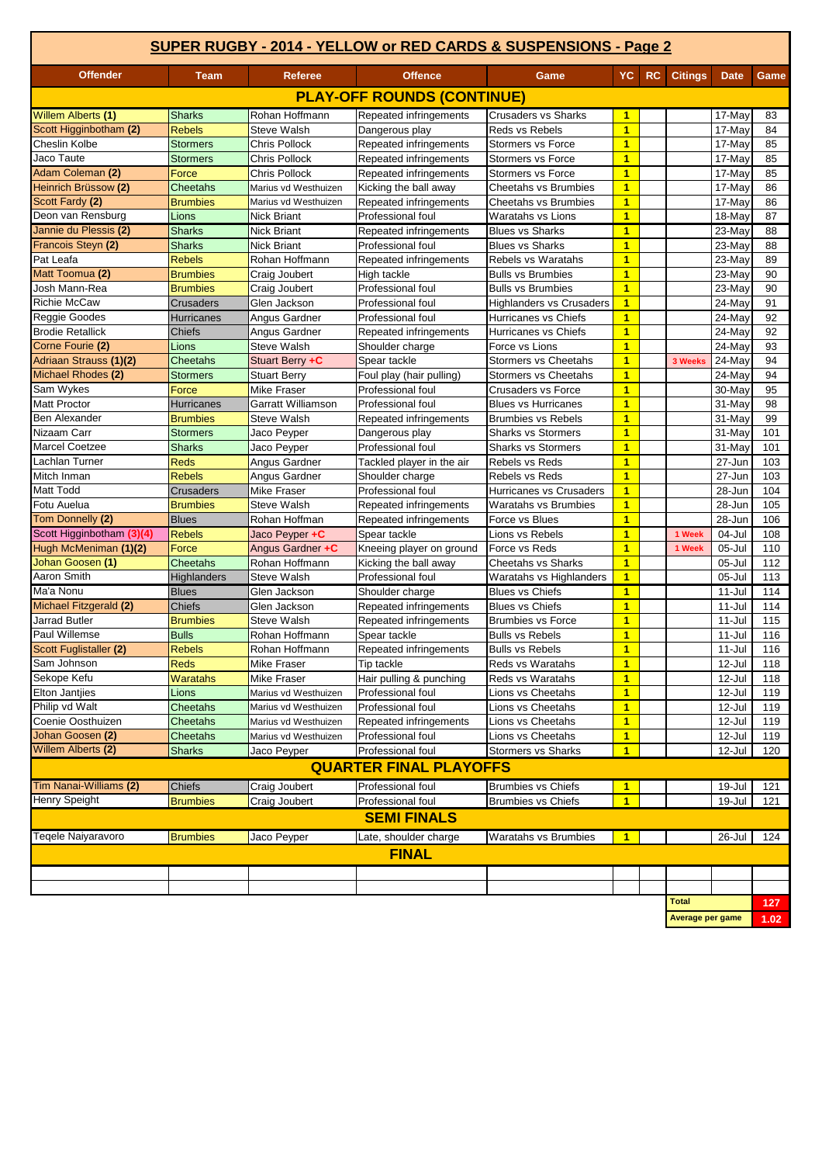| <b>Offender</b><br><b>Citings</b><br><b>Referee</b><br><b>Offence</b><br>YC<br>RC.<br><b>Team</b><br>Game<br><b>Date</b><br>Game<br><b>PLAY-OFF ROUNDS (CONTINUE)</b><br>Rohan Hoffmann<br><b>Sharks</b><br>Repeated infringements<br><b>Crusaders vs Sharks</b><br>$\mathbf{1}$<br>17-May<br>83<br>$\overline{1}$<br><b>Rebels</b><br><b>Steve Walsh</b><br>Reds vs Rebels<br>17-May<br>84<br>Dangerous play<br>$\overline{\mathbf{1}}$<br>Cheslin Kolbe<br><b>Stormers</b><br>Chris Pollock<br>Repeated infringements<br><b>Stormers vs Force</b><br>17-May<br>85<br>$\overline{1}$<br>Jaco Taute<br><b>Stormers</b><br>Chris Pollock<br>Repeated infringements<br><b>Stormers vs Force</b><br>17-May<br>85<br>$\overline{\mathbf{1}}$<br>Adam Coleman (2)<br>Force<br>17-May<br>Chris Pollock<br>Repeated infringements<br><b>Stormers vs Force</b><br>85<br>Heinrich Brüssow (2)<br><b>Cheetahs vs Brumbies</b><br>$\overline{1}$<br>17-May<br>86<br><b>Cheetahs</b><br>Kicking the ball away<br>Marius vd Westhuizen<br>Scott Fardy (2)<br><b>Cheetahs vs Brumbies</b><br>$\overline{1}$<br>86<br><b>Brumbies</b><br>Marius vd Westhuizen<br>Repeated infringements<br>17-May<br>Deon van Rensburg<br>$\overline{1}$<br>Lions<br>Professional foul<br><b>Waratahs vs Lions</b><br>87<br><b>Nick Briant</b><br>18-May<br>Jannie du Plessis (2)<br><b>Blues vs Sharks</b><br>$\overline{1}$<br>88<br><b>Sharks</b><br><b>Nick Briant</b><br>Repeated infringements<br>$23-Mav$<br>Francois Steyn (2)<br><b>Sharks</b><br>Professional foul<br><b>Blues vs Sharks</b><br>$\overline{1}$<br>23-May<br>88<br><b>Nick Briant</b><br>$\overline{1}$<br>Pat Leafa<br>Rohan Hoffmann<br><b>Rebels vs Waratahs</b><br>89<br><b>Rebels</b><br>Repeated infringements<br>23-May<br>Matt Toomua (2)<br><b>Bulls vs Brumbies</b><br>$\overline{1}$<br>23-May<br>90<br><b>Brumbies</b><br>Craig Joubert<br>High tackle<br>Josh Mann-Rea<br>Professional foul<br>$\overline{1}$<br>23-May<br>90<br><b>Brumbies</b><br>Craig Joubert<br><b>Bulls vs Brumbies</b><br><b>Richie McCaw</b><br>Glen Jackson<br>Professional foul<br>$\overline{1}$<br>24-May<br>91<br><b>Crusaders</b><br><b>Highlanders vs Crusaders</b><br>Reggie Goodes<br>$\overline{1}$<br>92<br><b>Hurricanes</b><br>Angus Gardner<br>Professional foul<br>Hurricanes vs Chiefs<br>24-May<br><b>Brodie Retallick</b><br>Chiefs<br>$\overline{1}$<br>24-May<br>92<br>Angus Gardner<br>Repeated infringements<br>Hurricanes vs Chiefs<br>$\blacksquare$<br>Lions<br><b>Steve Walsh</b><br>24-May<br>93<br>Shoulder charge<br>Force vs Lions<br>Adriaan Strauss (1)(2)<br>24-May<br>94<br><b>Cheetahs</b><br>Spear tackle<br><b>Stormers vs Cheetahs</b><br>$\overline{1}$<br>3 Weeks<br>Stuart Berry +C<br>Michael Rhodes (2)<br>94<br><b>Stormers vs Cheetahs</b><br>$\overline{1}$<br>Foul play (hair pulling)<br>24-May<br>Stormers<br>Stuart Berry<br>Sam Wykes<br>Mike Fraser<br>Professional foul<br>Crusaders vs Force<br>$\mathbf{1}$<br>30-May<br>95<br>Force<br>Professional foul<br>$\overline{1}$<br>31-May<br>98<br>Hurricanes<br>Garratt Williamson<br><b>Blues vs Hurricanes</b><br><b>Ben Alexander</b><br><b>Brumbies</b><br><b>Steve Walsh</b><br><b>Brumbies vs Rebels</b><br>$\overline{1}$<br>31-May<br>99<br>Repeated infringements<br>Nizaam Carr<br>$\overline{1}$<br>101<br><b>Stormers</b><br>Jaco Peyper<br><b>Sharks vs Stormers</b><br>31-May<br>Dangerous play<br>$\overline{1}$<br>101<br><b>Sharks</b><br>Professional foul<br><b>Sharks vs Stormers</b><br>31-May<br>Jaco Peyper<br><b>Lachlan Turner</b><br><b>Reds</b><br>Angus Gardner<br>$\overline{1}$<br>27-Jun<br>103<br>Tackled player in the air<br>Rebels vs Reds<br>$\overline{\mathbf{1}}$<br>Mitch Inman<br><b>Rebels</b><br>Angus Gardner<br>Rebels vs Reds<br>27-Jun<br>103<br>Shoulder charge<br>$\overline{1}$<br>Matt Todd<br><b>Mike Fraser</b><br>Professional foul<br>Hurricanes vs Crusaders<br>104<br><b>Crusaders</b><br>28-Jun<br>$\overline{1}$<br>Fotu Auelua<br><b>Waratahs vs Brumbies</b><br>28-Jun<br>105<br><b>Brumbies</b><br>Steve Walsh<br>Repeated infringements<br>Tom Donnelly (2)<br>$\overline{1}$<br>Rohan Hoffman<br>28-Jun<br>106<br><b>Blues</b><br>Repeated infringements<br>Force vs Blues<br>Scott Higginbotham (3)(4)<br>Jaco Peyper +C<br><b>Rebels</b><br>Spear tackle<br>Lions vs Rebels<br>$\mathbf{1}$<br>1 Week<br>04-Jul<br>108<br>Hugh McMeniman (1)(2)<br>$\overline{1}$<br>Angus Gardner +C<br>05-Jul<br>110<br>Force<br>Kneeing player on ground<br>Force vs Reds<br>1 Week<br>Johan Goosen (1)<br><b>Cheetahs vs Sharks</b><br>$\overline{\mathbf{1}}$<br><b>Cheetahs</b><br>Rohan Hoffmann<br>112<br>Kicking the ball away<br>05-Jul<br>Aaron Smith<br>$\overline{1}$<br><b>Steve Walsh</b><br>Professional foul<br>Waratahs vs Highlanders<br>05-Jul<br>113<br>Highlanders<br>Ma'a Nonu<br><b>Blues</b><br>$\overline{1}$<br>Glen Jackson<br>Shoulder charge<br><b>Blues vs Chiefs</b><br>114<br>11-Jul<br>$\overline{1}$<br><b>Chiefs</b><br>114<br>Glen Jackson<br>Repeated infringements<br><b>Blues vs Chiefs</b><br>11-Jul<br><b>Jarrad Butler</b><br><b>Steve Walsh</b><br><b>Brumbies vs Force</b><br>1<br>115<br><b>Brumbies</b><br>Repeated infringements<br>11-Jul<br>Paul Willemse<br><b>Bulls</b><br>$\blacksquare$<br>$11 -$ Jul<br>116<br>Rohan Hoffmann<br>Spear tackle<br><b>Bulls vs Rebels</b><br>Scott Fuglistaller (2)<br><b>Rebels</b><br>Rohan Hoffmann<br>Repeated infringements<br><b>Bulls vs Rebels</b><br><u>1</u><br>11-Jul<br>116<br>Reds vs Waratahs<br>Sam Johnson<br>Reds<br>Mike Fraser<br>1<br>12-Jul<br>118<br>Tip tackle<br>Hair pulling & punching<br>Reds vs Waratahs<br>$\overline{1}$<br>Waratahs<br>Mike Fraser<br>12-Jul<br>118<br><b>Elton Jantjies</b><br>Marius vd Westhuizen<br>Professional foul<br>Lions vs Cheetahs<br>1<br>12-Jul<br>119<br>Lions<br>Philip vd Walt<br>Professional foul<br>$\overline{1}$<br>Cheetahs<br>Marius vd Westhuizen<br>Lions vs Cheetahs<br>12-Jul<br>119<br>Coenie Oosthuizen<br>Marius vd Westhuizen<br>Lions vs Cheetahs<br>$\overline{1}$<br>Cheetahs<br>Repeated infringements<br>12-Jul<br>119<br>Johan Goosen (2)<br>Professional foul<br>$\overline{1}$<br>Cheetahs<br>Marius vd Westhuizen<br>Lions vs Cheetahs<br>12-Jul<br>119<br>Willem Alberts (2)<br>Professional foul<br><b>Stormers vs Sharks</b><br>$\overline{1}$<br>Sharks<br>Jaco Peyper<br>12-Jul<br>120<br><b>QUARTER FINAL PLAYOFFS</b><br>Tim Nanai-Williams (2)<br><b>Chiefs</b><br><b>Brumbies vs Chiefs</b><br>Craig Joubert<br>Professional foul<br>$\mathbf{1}$<br>19-Jul<br>121<br>Henry Speight<br>Professional foul<br><b>Brumbies vs Chiefs</b><br>$\blacksquare$<br>19-Jul<br><b>Brumbies</b><br>Craig Joubert<br>121<br><b>SEMI FINALS</b><br>Tegele Naiyaravoro<br>Waratahs vs Brumbies<br>26-Jul<br>124<br><b>Brumbies</b><br>Jaco Peyper<br>Late, shoulder charge<br>$\blacktriangleleft$<br><b>FINAL</b><br><b>Total</b><br>127<br>Average per game<br>1.02 | SUPER RUGBY - 2014 - YELLOW or RED CARDS & SUSPENSIONS - Page 2 |  |  |  |  |  |  |  |  |  |
|------------------------------------------------------------------------------------------------------------------------------------------------------------------------------------------------------------------------------------------------------------------------------------------------------------------------------------------------------------------------------------------------------------------------------------------------------------------------------------------------------------------------------------------------------------------------------------------------------------------------------------------------------------------------------------------------------------------------------------------------------------------------------------------------------------------------------------------------------------------------------------------------------------------------------------------------------------------------------------------------------------------------------------------------------------------------------------------------------------------------------------------------------------------------------------------------------------------------------------------------------------------------------------------------------------------------------------------------------------------------------------------------------------------------------------------------------------------------------------------------------------------------------------------------------------------------------------------------------------------------------------------------------------------------------------------------------------------------------------------------------------------------------------------------------------------------------------------------------------------------------------------------------------------------------------------------------------------------------------------------------------------------------------------------------------------------------------------------------------------------------------------------------------------------------------------------------------------------------------------------------------------------------------------------------------------------------------------------------------------------------------------------------------------------------------------------------------------------------------------------------------------------------------------------------------------------------------------------------------------------------------------------------------------------------------------------------------------------------------------------------------------------------------------------------------------------------------------------------------------------------------------------------------------------------------------------------------------------------------------------------------------------------------------------------------------------------------------------------------------------------------------------------------------------------------------------------------------------------------------------------------------------------------------------------------------------------------------------------------------------------------------------------------------------------------------------------------------------------------------------------------------------------------------------------------------------------------------------------------------------------------------------------------------------------------------------------------------------------------------------------------------------------------------------------------------------------------------------------------------------------------------------------------------------------------------------------------------------------------------------------------------------------------------------------------------------------------------------------------------------------------------------------------------------------------------------------------------------------------------------------------------------------------------------------------------------------------------------------------------------------------------------------------------------------------------------------------------------------------------------------------------------------------------------------------------------------------------------------------------------------------------------------------------------------------------------------------------------------------------------------------------------------------------------------------------------------------------------------------------------------------------------------------------------------------------------------------------------------------------------------------------------------------------------------------------------------------------------------------------------------------------------------------------------------------------------------------------------------------------------------------------------------------------------------------------------------------------------------------------------------------------------------------------------------------------------------------------------------------------------------------------------------------------------------------------------------------------------------------------------------------------------------------------------------------------------------------------------------------------------------------------------------------------------------------------------------------------------------------------------------------------------------------------------------------------------------------------------------------------------------------------------------------------------------------------------------------------------------------------------------------------------------------------------------------------------------------------------------------------------------------------------------------------------------------------------------------------------------------------------------------------------------------------------------------------------------------------------------------------------------------------------------------------------------------------------------------------------------------------------------------------------------------------------------------------------------------------------------------------------------------------------------------------------------------------------------------------------------------------------------------------------------------------------------------------------------------------------------------------------------------------------------------|-----------------------------------------------------------------|--|--|--|--|--|--|--|--|--|
|                                                                                                                                                                                                                                                                                                                                                                                                                                                                                                                                                                                                                                                                                                                                                                                                                                                                                                                                                                                                                                                                                                                                                                                                                                                                                                                                                                                                                                                                                                                                                                                                                                                                                                                                                                                                                                                                                                                                                                                                                                                                                                                                                                                                                                                                                                                                                                                                                                                                                                                                                                                                                                                                                                                                                                                                                                                                                                                                                                                                                                                                                                                                                                                                                                                                                                                                                                                                                                                                                                                                                                                                                                                                                                                                                                                                                                                                                                                                                                                                                                                                                                                                                                                                                                                                                                                                                                                                                                                                                                                                                                                                                                                                                                                                                                                                                                                                                                                                                                                                                                                                                                                                                                                                                                                                                                                                                                                                                                                                                                                                                                                                                                                                                                                                                                                                                                                                                                                                                                                                                                                                                                                                                                                                                                                                                                                                                                                                                                                                                                                                                                                                                                                                                                                                                                                                                                                                                                                                                                                                                                    |                                                                 |  |  |  |  |  |  |  |  |  |
|                                                                                                                                                                                                                                                                                                                                                                                                                                                                                                                                                                                                                                                                                                                                                                                                                                                                                                                                                                                                                                                                                                                                                                                                                                                                                                                                                                                                                                                                                                                                                                                                                                                                                                                                                                                                                                                                                                                                                                                                                                                                                                                                                                                                                                                                                                                                                                                                                                                                                                                                                                                                                                                                                                                                                                                                                                                                                                                                                                                                                                                                                                                                                                                                                                                                                                                                                                                                                                                                                                                                                                                                                                                                                                                                                                                                                                                                                                                                                                                                                                                                                                                                                                                                                                                                                                                                                                                                                                                                                                                                                                                                                                                                                                                                                                                                                                                                                                                                                                                                                                                                                                                                                                                                                                                                                                                                                                                                                                                                                                                                                                                                                                                                                                                                                                                                                                                                                                                                                                                                                                                                                                                                                                                                                                                                                                                                                                                                                                                                                                                                                                                                                                                                                                                                                                                                                                                                                                                                                                                                                                    |                                                                 |  |  |  |  |  |  |  |  |  |
|                                                                                                                                                                                                                                                                                                                                                                                                                                                                                                                                                                                                                                                                                                                                                                                                                                                                                                                                                                                                                                                                                                                                                                                                                                                                                                                                                                                                                                                                                                                                                                                                                                                                                                                                                                                                                                                                                                                                                                                                                                                                                                                                                                                                                                                                                                                                                                                                                                                                                                                                                                                                                                                                                                                                                                                                                                                                                                                                                                                                                                                                                                                                                                                                                                                                                                                                                                                                                                                                                                                                                                                                                                                                                                                                                                                                                                                                                                                                                                                                                                                                                                                                                                                                                                                                                                                                                                                                                                                                                                                                                                                                                                                                                                                                                                                                                                                                                                                                                                                                                                                                                                                                                                                                                                                                                                                                                                                                                                                                                                                                                                                                                                                                                                                                                                                                                                                                                                                                                                                                                                                                                                                                                                                                                                                                                                                                                                                                                                                                                                                                                                                                                                                                                                                                                                                                                                                                                                                                                                                                                                    | <b>Willem Alberts (1)</b>                                       |  |  |  |  |  |  |  |  |  |
|                                                                                                                                                                                                                                                                                                                                                                                                                                                                                                                                                                                                                                                                                                                                                                                                                                                                                                                                                                                                                                                                                                                                                                                                                                                                                                                                                                                                                                                                                                                                                                                                                                                                                                                                                                                                                                                                                                                                                                                                                                                                                                                                                                                                                                                                                                                                                                                                                                                                                                                                                                                                                                                                                                                                                                                                                                                                                                                                                                                                                                                                                                                                                                                                                                                                                                                                                                                                                                                                                                                                                                                                                                                                                                                                                                                                                                                                                                                                                                                                                                                                                                                                                                                                                                                                                                                                                                                                                                                                                                                                                                                                                                                                                                                                                                                                                                                                                                                                                                                                                                                                                                                                                                                                                                                                                                                                                                                                                                                                                                                                                                                                                                                                                                                                                                                                                                                                                                                                                                                                                                                                                                                                                                                                                                                                                                                                                                                                                                                                                                                                                                                                                                                                                                                                                                                                                                                                                                                                                                                                                                    | Scott Higginbotham (2)                                          |  |  |  |  |  |  |  |  |  |
|                                                                                                                                                                                                                                                                                                                                                                                                                                                                                                                                                                                                                                                                                                                                                                                                                                                                                                                                                                                                                                                                                                                                                                                                                                                                                                                                                                                                                                                                                                                                                                                                                                                                                                                                                                                                                                                                                                                                                                                                                                                                                                                                                                                                                                                                                                                                                                                                                                                                                                                                                                                                                                                                                                                                                                                                                                                                                                                                                                                                                                                                                                                                                                                                                                                                                                                                                                                                                                                                                                                                                                                                                                                                                                                                                                                                                                                                                                                                                                                                                                                                                                                                                                                                                                                                                                                                                                                                                                                                                                                                                                                                                                                                                                                                                                                                                                                                                                                                                                                                                                                                                                                                                                                                                                                                                                                                                                                                                                                                                                                                                                                                                                                                                                                                                                                                                                                                                                                                                                                                                                                                                                                                                                                                                                                                                                                                                                                                                                                                                                                                                                                                                                                                                                                                                                                                                                                                                                                                                                                                                                    |                                                                 |  |  |  |  |  |  |  |  |  |
|                                                                                                                                                                                                                                                                                                                                                                                                                                                                                                                                                                                                                                                                                                                                                                                                                                                                                                                                                                                                                                                                                                                                                                                                                                                                                                                                                                                                                                                                                                                                                                                                                                                                                                                                                                                                                                                                                                                                                                                                                                                                                                                                                                                                                                                                                                                                                                                                                                                                                                                                                                                                                                                                                                                                                                                                                                                                                                                                                                                                                                                                                                                                                                                                                                                                                                                                                                                                                                                                                                                                                                                                                                                                                                                                                                                                                                                                                                                                                                                                                                                                                                                                                                                                                                                                                                                                                                                                                                                                                                                                                                                                                                                                                                                                                                                                                                                                                                                                                                                                                                                                                                                                                                                                                                                                                                                                                                                                                                                                                                                                                                                                                                                                                                                                                                                                                                                                                                                                                                                                                                                                                                                                                                                                                                                                                                                                                                                                                                                                                                                                                                                                                                                                                                                                                                                                                                                                                                                                                                                                                                    |                                                                 |  |  |  |  |  |  |  |  |  |
|                                                                                                                                                                                                                                                                                                                                                                                                                                                                                                                                                                                                                                                                                                                                                                                                                                                                                                                                                                                                                                                                                                                                                                                                                                                                                                                                                                                                                                                                                                                                                                                                                                                                                                                                                                                                                                                                                                                                                                                                                                                                                                                                                                                                                                                                                                                                                                                                                                                                                                                                                                                                                                                                                                                                                                                                                                                                                                                                                                                                                                                                                                                                                                                                                                                                                                                                                                                                                                                                                                                                                                                                                                                                                                                                                                                                                                                                                                                                                                                                                                                                                                                                                                                                                                                                                                                                                                                                                                                                                                                                                                                                                                                                                                                                                                                                                                                                                                                                                                                                                                                                                                                                                                                                                                                                                                                                                                                                                                                                                                                                                                                                                                                                                                                                                                                                                                                                                                                                                                                                                                                                                                                                                                                                                                                                                                                                                                                                                                                                                                                                                                                                                                                                                                                                                                                                                                                                                                                                                                                                                                    |                                                                 |  |  |  |  |  |  |  |  |  |
|                                                                                                                                                                                                                                                                                                                                                                                                                                                                                                                                                                                                                                                                                                                                                                                                                                                                                                                                                                                                                                                                                                                                                                                                                                                                                                                                                                                                                                                                                                                                                                                                                                                                                                                                                                                                                                                                                                                                                                                                                                                                                                                                                                                                                                                                                                                                                                                                                                                                                                                                                                                                                                                                                                                                                                                                                                                                                                                                                                                                                                                                                                                                                                                                                                                                                                                                                                                                                                                                                                                                                                                                                                                                                                                                                                                                                                                                                                                                                                                                                                                                                                                                                                                                                                                                                                                                                                                                                                                                                                                                                                                                                                                                                                                                                                                                                                                                                                                                                                                                                                                                                                                                                                                                                                                                                                                                                                                                                                                                                                                                                                                                                                                                                                                                                                                                                                                                                                                                                                                                                                                                                                                                                                                                                                                                                                                                                                                                                                                                                                                                                                                                                                                                                                                                                                                                                                                                                                                                                                                                                                    |                                                                 |  |  |  |  |  |  |  |  |  |
|                                                                                                                                                                                                                                                                                                                                                                                                                                                                                                                                                                                                                                                                                                                                                                                                                                                                                                                                                                                                                                                                                                                                                                                                                                                                                                                                                                                                                                                                                                                                                                                                                                                                                                                                                                                                                                                                                                                                                                                                                                                                                                                                                                                                                                                                                                                                                                                                                                                                                                                                                                                                                                                                                                                                                                                                                                                                                                                                                                                                                                                                                                                                                                                                                                                                                                                                                                                                                                                                                                                                                                                                                                                                                                                                                                                                                                                                                                                                                                                                                                                                                                                                                                                                                                                                                                                                                                                                                                                                                                                                                                                                                                                                                                                                                                                                                                                                                                                                                                                                                                                                                                                                                                                                                                                                                                                                                                                                                                                                                                                                                                                                                                                                                                                                                                                                                                                                                                                                                                                                                                                                                                                                                                                                                                                                                                                                                                                                                                                                                                                                                                                                                                                                                                                                                                                                                                                                                                                                                                                                                                    |                                                                 |  |  |  |  |  |  |  |  |  |
|                                                                                                                                                                                                                                                                                                                                                                                                                                                                                                                                                                                                                                                                                                                                                                                                                                                                                                                                                                                                                                                                                                                                                                                                                                                                                                                                                                                                                                                                                                                                                                                                                                                                                                                                                                                                                                                                                                                                                                                                                                                                                                                                                                                                                                                                                                                                                                                                                                                                                                                                                                                                                                                                                                                                                                                                                                                                                                                                                                                                                                                                                                                                                                                                                                                                                                                                                                                                                                                                                                                                                                                                                                                                                                                                                                                                                                                                                                                                                                                                                                                                                                                                                                                                                                                                                                                                                                                                                                                                                                                                                                                                                                                                                                                                                                                                                                                                                                                                                                                                                                                                                                                                                                                                                                                                                                                                                                                                                                                                                                                                                                                                                                                                                                                                                                                                                                                                                                                                                                                                                                                                                                                                                                                                                                                                                                                                                                                                                                                                                                                                                                                                                                                                                                                                                                                                                                                                                                                                                                                                                                    |                                                                 |  |  |  |  |  |  |  |  |  |
|                                                                                                                                                                                                                                                                                                                                                                                                                                                                                                                                                                                                                                                                                                                                                                                                                                                                                                                                                                                                                                                                                                                                                                                                                                                                                                                                                                                                                                                                                                                                                                                                                                                                                                                                                                                                                                                                                                                                                                                                                                                                                                                                                                                                                                                                                                                                                                                                                                                                                                                                                                                                                                                                                                                                                                                                                                                                                                                                                                                                                                                                                                                                                                                                                                                                                                                                                                                                                                                                                                                                                                                                                                                                                                                                                                                                                                                                                                                                                                                                                                                                                                                                                                                                                                                                                                                                                                                                                                                                                                                                                                                                                                                                                                                                                                                                                                                                                                                                                                                                                                                                                                                                                                                                                                                                                                                                                                                                                                                                                                                                                                                                                                                                                                                                                                                                                                                                                                                                                                                                                                                                                                                                                                                                                                                                                                                                                                                                                                                                                                                                                                                                                                                                                                                                                                                                                                                                                                                                                                                                                                    |                                                                 |  |  |  |  |  |  |  |  |  |
|                                                                                                                                                                                                                                                                                                                                                                                                                                                                                                                                                                                                                                                                                                                                                                                                                                                                                                                                                                                                                                                                                                                                                                                                                                                                                                                                                                                                                                                                                                                                                                                                                                                                                                                                                                                                                                                                                                                                                                                                                                                                                                                                                                                                                                                                                                                                                                                                                                                                                                                                                                                                                                                                                                                                                                                                                                                                                                                                                                                                                                                                                                                                                                                                                                                                                                                                                                                                                                                                                                                                                                                                                                                                                                                                                                                                                                                                                                                                                                                                                                                                                                                                                                                                                                                                                                                                                                                                                                                                                                                                                                                                                                                                                                                                                                                                                                                                                                                                                                                                                                                                                                                                                                                                                                                                                                                                                                                                                                                                                                                                                                                                                                                                                                                                                                                                                                                                                                                                                                                                                                                                                                                                                                                                                                                                                                                                                                                                                                                                                                                                                                                                                                                                                                                                                                                                                                                                                                                                                                                                                                    |                                                                 |  |  |  |  |  |  |  |  |  |
|                                                                                                                                                                                                                                                                                                                                                                                                                                                                                                                                                                                                                                                                                                                                                                                                                                                                                                                                                                                                                                                                                                                                                                                                                                                                                                                                                                                                                                                                                                                                                                                                                                                                                                                                                                                                                                                                                                                                                                                                                                                                                                                                                                                                                                                                                                                                                                                                                                                                                                                                                                                                                                                                                                                                                                                                                                                                                                                                                                                                                                                                                                                                                                                                                                                                                                                                                                                                                                                                                                                                                                                                                                                                                                                                                                                                                                                                                                                                                                                                                                                                                                                                                                                                                                                                                                                                                                                                                                                                                                                                                                                                                                                                                                                                                                                                                                                                                                                                                                                                                                                                                                                                                                                                                                                                                                                                                                                                                                                                                                                                                                                                                                                                                                                                                                                                                                                                                                                                                                                                                                                                                                                                                                                                                                                                                                                                                                                                                                                                                                                                                                                                                                                                                                                                                                                                                                                                                                                                                                                                                                    |                                                                 |  |  |  |  |  |  |  |  |  |
|                                                                                                                                                                                                                                                                                                                                                                                                                                                                                                                                                                                                                                                                                                                                                                                                                                                                                                                                                                                                                                                                                                                                                                                                                                                                                                                                                                                                                                                                                                                                                                                                                                                                                                                                                                                                                                                                                                                                                                                                                                                                                                                                                                                                                                                                                                                                                                                                                                                                                                                                                                                                                                                                                                                                                                                                                                                                                                                                                                                                                                                                                                                                                                                                                                                                                                                                                                                                                                                                                                                                                                                                                                                                                                                                                                                                                                                                                                                                                                                                                                                                                                                                                                                                                                                                                                                                                                                                                                                                                                                                                                                                                                                                                                                                                                                                                                                                                                                                                                                                                                                                                                                                                                                                                                                                                                                                                                                                                                                                                                                                                                                                                                                                                                                                                                                                                                                                                                                                                                                                                                                                                                                                                                                                                                                                                                                                                                                                                                                                                                                                                                                                                                                                                                                                                                                                                                                                                                                                                                                                                                    |                                                                 |  |  |  |  |  |  |  |  |  |
|                                                                                                                                                                                                                                                                                                                                                                                                                                                                                                                                                                                                                                                                                                                                                                                                                                                                                                                                                                                                                                                                                                                                                                                                                                                                                                                                                                                                                                                                                                                                                                                                                                                                                                                                                                                                                                                                                                                                                                                                                                                                                                                                                                                                                                                                                                                                                                                                                                                                                                                                                                                                                                                                                                                                                                                                                                                                                                                                                                                                                                                                                                                                                                                                                                                                                                                                                                                                                                                                                                                                                                                                                                                                                                                                                                                                                                                                                                                                                                                                                                                                                                                                                                                                                                                                                                                                                                                                                                                                                                                                                                                                                                                                                                                                                                                                                                                                                                                                                                                                                                                                                                                                                                                                                                                                                                                                                                                                                                                                                                                                                                                                                                                                                                                                                                                                                                                                                                                                                                                                                                                                                                                                                                                                                                                                                                                                                                                                                                                                                                                                                                                                                                                                                                                                                                                                                                                                                                                                                                                                                                    |                                                                 |  |  |  |  |  |  |  |  |  |
|                                                                                                                                                                                                                                                                                                                                                                                                                                                                                                                                                                                                                                                                                                                                                                                                                                                                                                                                                                                                                                                                                                                                                                                                                                                                                                                                                                                                                                                                                                                                                                                                                                                                                                                                                                                                                                                                                                                                                                                                                                                                                                                                                                                                                                                                                                                                                                                                                                                                                                                                                                                                                                                                                                                                                                                                                                                                                                                                                                                                                                                                                                                                                                                                                                                                                                                                                                                                                                                                                                                                                                                                                                                                                                                                                                                                                                                                                                                                                                                                                                                                                                                                                                                                                                                                                                                                                                                                                                                                                                                                                                                                                                                                                                                                                                                                                                                                                                                                                                                                                                                                                                                                                                                                                                                                                                                                                                                                                                                                                                                                                                                                                                                                                                                                                                                                                                                                                                                                                                                                                                                                                                                                                                                                                                                                                                                                                                                                                                                                                                                                                                                                                                                                                                                                                                                                                                                                                                                                                                                                                                    |                                                                 |  |  |  |  |  |  |  |  |  |
|                                                                                                                                                                                                                                                                                                                                                                                                                                                                                                                                                                                                                                                                                                                                                                                                                                                                                                                                                                                                                                                                                                                                                                                                                                                                                                                                                                                                                                                                                                                                                                                                                                                                                                                                                                                                                                                                                                                                                                                                                                                                                                                                                                                                                                                                                                                                                                                                                                                                                                                                                                                                                                                                                                                                                                                                                                                                                                                                                                                                                                                                                                                                                                                                                                                                                                                                                                                                                                                                                                                                                                                                                                                                                                                                                                                                                                                                                                                                                                                                                                                                                                                                                                                                                                                                                                                                                                                                                                                                                                                                                                                                                                                                                                                                                                                                                                                                                                                                                                                                                                                                                                                                                                                                                                                                                                                                                                                                                                                                                                                                                                                                                                                                                                                                                                                                                                                                                                                                                                                                                                                                                                                                                                                                                                                                                                                                                                                                                                                                                                                                                                                                                                                                                                                                                                                                                                                                                                                                                                                                                                    |                                                                 |  |  |  |  |  |  |  |  |  |
|                                                                                                                                                                                                                                                                                                                                                                                                                                                                                                                                                                                                                                                                                                                                                                                                                                                                                                                                                                                                                                                                                                                                                                                                                                                                                                                                                                                                                                                                                                                                                                                                                                                                                                                                                                                                                                                                                                                                                                                                                                                                                                                                                                                                                                                                                                                                                                                                                                                                                                                                                                                                                                                                                                                                                                                                                                                                                                                                                                                                                                                                                                                                                                                                                                                                                                                                                                                                                                                                                                                                                                                                                                                                                                                                                                                                                                                                                                                                                                                                                                                                                                                                                                                                                                                                                                                                                                                                                                                                                                                                                                                                                                                                                                                                                                                                                                                                                                                                                                                                                                                                                                                                                                                                                                                                                                                                                                                                                                                                                                                                                                                                                                                                                                                                                                                                                                                                                                                                                                                                                                                                                                                                                                                                                                                                                                                                                                                                                                                                                                                                                                                                                                                                                                                                                                                                                                                                                                                                                                                                                                    |                                                                 |  |  |  |  |  |  |  |  |  |
|                                                                                                                                                                                                                                                                                                                                                                                                                                                                                                                                                                                                                                                                                                                                                                                                                                                                                                                                                                                                                                                                                                                                                                                                                                                                                                                                                                                                                                                                                                                                                                                                                                                                                                                                                                                                                                                                                                                                                                                                                                                                                                                                                                                                                                                                                                                                                                                                                                                                                                                                                                                                                                                                                                                                                                                                                                                                                                                                                                                                                                                                                                                                                                                                                                                                                                                                                                                                                                                                                                                                                                                                                                                                                                                                                                                                                                                                                                                                                                                                                                                                                                                                                                                                                                                                                                                                                                                                                                                                                                                                                                                                                                                                                                                                                                                                                                                                                                                                                                                                                                                                                                                                                                                                                                                                                                                                                                                                                                                                                                                                                                                                                                                                                                                                                                                                                                                                                                                                                                                                                                                                                                                                                                                                                                                                                                                                                                                                                                                                                                                                                                                                                                                                                                                                                                                                                                                                                                                                                                                                                                    | Corne Fourie (2)                                                |  |  |  |  |  |  |  |  |  |
|                                                                                                                                                                                                                                                                                                                                                                                                                                                                                                                                                                                                                                                                                                                                                                                                                                                                                                                                                                                                                                                                                                                                                                                                                                                                                                                                                                                                                                                                                                                                                                                                                                                                                                                                                                                                                                                                                                                                                                                                                                                                                                                                                                                                                                                                                                                                                                                                                                                                                                                                                                                                                                                                                                                                                                                                                                                                                                                                                                                                                                                                                                                                                                                                                                                                                                                                                                                                                                                                                                                                                                                                                                                                                                                                                                                                                                                                                                                                                                                                                                                                                                                                                                                                                                                                                                                                                                                                                                                                                                                                                                                                                                                                                                                                                                                                                                                                                                                                                                                                                                                                                                                                                                                                                                                                                                                                                                                                                                                                                                                                                                                                                                                                                                                                                                                                                                                                                                                                                                                                                                                                                                                                                                                                                                                                                                                                                                                                                                                                                                                                                                                                                                                                                                                                                                                                                                                                                                                                                                                                                                    |                                                                 |  |  |  |  |  |  |  |  |  |
|                                                                                                                                                                                                                                                                                                                                                                                                                                                                                                                                                                                                                                                                                                                                                                                                                                                                                                                                                                                                                                                                                                                                                                                                                                                                                                                                                                                                                                                                                                                                                                                                                                                                                                                                                                                                                                                                                                                                                                                                                                                                                                                                                                                                                                                                                                                                                                                                                                                                                                                                                                                                                                                                                                                                                                                                                                                                                                                                                                                                                                                                                                                                                                                                                                                                                                                                                                                                                                                                                                                                                                                                                                                                                                                                                                                                                                                                                                                                                                                                                                                                                                                                                                                                                                                                                                                                                                                                                                                                                                                                                                                                                                                                                                                                                                                                                                                                                                                                                                                                                                                                                                                                                                                                                                                                                                                                                                                                                                                                                                                                                                                                                                                                                                                                                                                                                                                                                                                                                                                                                                                                                                                                                                                                                                                                                                                                                                                                                                                                                                                                                                                                                                                                                                                                                                                                                                                                                                                                                                                                                                    |                                                                 |  |  |  |  |  |  |  |  |  |
|                                                                                                                                                                                                                                                                                                                                                                                                                                                                                                                                                                                                                                                                                                                                                                                                                                                                                                                                                                                                                                                                                                                                                                                                                                                                                                                                                                                                                                                                                                                                                                                                                                                                                                                                                                                                                                                                                                                                                                                                                                                                                                                                                                                                                                                                                                                                                                                                                                                                                                                                                                                                                                                                                                                                                                                                                                                                                                                                                                                                                                                                                                                                                                                                                                                                                                                                                                                                                                                                                                                                                                                                                                                                                                                                                                                                                                                                                                                                                                                                                                                                                                                                                                                                                                                                                                                                                                                                                                                                                                                                                                                                                                                                                                                                                                                                                                                                                                                                                                                                                                                                                                                                                                                                                                                                                                                                                                                                                                                                                                                                                                                                                                                                                                                                                                                                                                                                                                                                                                                                                                                                                                                                                                                                                                                                                                                                                                                                                                                                                                                                                                                                                                                                                                                                                                                                                                                                                                                                                                                                                                    |                                                                 |  |  |  |  |  |  |  |  |  |
|                                                                                                                                                                                                                                                                                                                                                                                                                                                                                                                                                                                                                                                                                                                                                                                                                                                                                                                                                                                                                                                                                                                                                                                                                                                                                                                                                                                                                                                                                                                                                                                                                                                                                                                                                                                                                                                                                                                                                                                                                                                                                                                                                                                                                                                                                                                                                                                                                                                                                                                                                                                                                                                                                                                                                                                                                                                                                                                                                                                                                                                                                                                                                                                                                                                                                                                                                                                                                                                                                                                                                                                                                                                                                                                                                                                                                                                                                                                                                                                                                                                                                                                                                                                                                                                                                                                                                                                                                                                                                                                                                                                                                                                                                                                                                                                                                                                                                                                                                                                                                                                                                                                                                                                                                                                                                                                                                                                                                                                                                                                                                                                                                                                                                                                                                                                                                                                                                                                                                                                                                                                                                                                                                                                                                                                                                                                                                                                                                                                                                                                                                                                                                                                                                                                                                                                                                                                                                                                                                                                                                                    | <b>Matt Proctor</b>                                             |  |  |  |  |  |  |  |  |  |
|                                                                                                                                                                                                                                                                                                                                                                                                                                                                                                                                                                                                                                                                                                                                                                                                                                                                                                                                                                                                                                                                                                                                                                                                                                                                                                                                                                                                                                                                                                                                                                                                                                                                                                                                                                                                                                                                                                                                                                                                                                                                                                                                                                                                                                                                                                                                                                                                                                                                                                                                                                                                                                                                                                                                                                                                                                                                                                                                                                                                                                                                                                                                                                                                                                                                                                                                                                                                                                                                                                                                                                                                                                                                                                                                                                                                                                                                                                                                                                                                                                                                                                                                                                                                                                                                                                                                                                                                                                                                                                                                                                                                                                                                                                                                                                                                                                                                                                                                                                                                                                                                                                                                                                                                                                                                                                                                                                                                                                                                                                                                                                                                                                                                                                                                                                                                                                                                                                                                                                                                                                                                                                                                                                                                                                                                                                                                                                                                                                                                                                                                                                                                                                                                                                                                                                                                                                                                                                                                                                                                                                    |                                                                 |  |  |  |  |  |  |  |  |  |
|                                                                                                                                                                                                                                                                                                                                                                                                                                                                                                                                                                                                                                                                                                                                                                                                                                                                                                                                                                                                                                                                                                                                                                                                                                                                                                                                                                                                                                                                                                                                                                                                                                                                                                                                                                                                                                                                                                                                                                                                                                                                                                                                                                                                                                                                                                                                                                                                                                                                                                                                                                                                                                                                                                                                                                                                                                                                                                                                                                                                                                                                                                                                                                                                                                                                                                                                                                                                                                                                                                                                                                                                                                                                                                                                                                                                                                                                                                                                                                                                                                                                                                                                                                                                                                                                                                                                                                                                                                                                                                                                                                                                                                                                                                                                                                                                                                                                                                                                                                                                                                                                                                                                                                                                                                                                                                                                                                                                                                                                                                                                                                                                                                                                                                                                                                                                                                                                                                                                                                                                                                                                                                                                                                                                                                                                                                                                                                                                                                                                                                                                                                                                                                                                                                                                                                                                                                                                                                                                                                                                                                    |                                                                 |  |  |  |  |  |  |  |  |  |
|                                                                                                                                                                                                                                                                                                                                                                                                                                                                                                                                                                                                                                                                                                                                                                                                                                                                                                                                                                                                                                                                                                                                                                                                                                                                                                                                                                                                                                                                                                                                                                                                                                                                                                                                                                                                                                                                                                                                                                                                                                                                                                                                                                                                                                                                                                                                                                                                                                                                                                                                                                                                                                                                                                                                                                                                                                                                                                                                                                                                                                                                                                                                                                                                                                                                                                                                                                                                                                                                                                                                                                                                                                                                                                                                                                                                                                                                                                                                                                                                                                                                                                                                                                                                                                                                                                                                                                                                                                                                                                                                                                                                                                                                                                                                                                                                                                                                                                                                                                                                                                                                                                                                                                                                                                                                                                                                                                                                                                                                                                                                                                                                                                                                                                                                                                                                                                                                                                                                                                                                                                                                                                                                                                                                                                                                                                                                                                                                                                                                                                                                                                                                                                                                                                                                                                                                                                                                                                                                                                                                                                    | <b>Marcel Coetzee</b>                                           |  |  |  |  |  |  |  |  |  |
|                                                                                                                                                                                                                                                                                                                                                                                                                                                                                                                                                                                                                                                                                                                                                                                                                                                                                                                                                                                                                                                                                                                                                                                                                                                                                                                                                                                                                                                                                                                                                                                                                                                                                                                                                                                                                                                                                                                                                                                                                                                                                                                                                                                                                                                                                                                                                                                                                                                                                                                                                                                                                                                                                                                                                                                                                                                                                                                                                                                                                                                                                                                                                                                                                                                                                                                                                                                                                                                                                                                                                                                                                                                                                                                                                                                                                                                                                                                                                                                                                                                                                                                                                                                                                                                                                                                                                                                                                                                                                                                                                                                                                                                                                                                                                                                                                                                                                                                                                                                                                                                                                                                                                                                                                                                                                                                                                                                                                                                                                                                                                                                                                                                                                                                                                                                                                                                                                                                                                                                                                                                                                                                                                                                                                                                                                                                                                                                                                                                                                                                                                                                                                                                                                                                                                                                                                                                                                                                                                                                                                                    |                                                                 |  |  |  |  |  |  |  |  |  |
|                                                                                                                                                                                                                                                                                                                                                                                                                                                                                                                                                                                                                                                                                                                                                                                                                                                                                                                                                                                                                                                                                                                                                                                                                                                                                                                                                                                                                                                                                                                                                                                                                                                                                                                                                                                                                                                                                                                                                                                                                                                                                                                                                                                                                                                                                                                                                                                                                                                                                                                                                                                                                                                                                                                                                                                                                                                                                                                                                                                                                                                                                                                                                                                                                                                                                                                                                                                                                                                                                                                                                                                                                                                                                                                                                                                                                                                                                                                                                                                                                                                                                                                                                                                                                                                                                                                                                                                                                                                                                                                                                                                                                                                                                                                                                                                                                                                                                                                                                                                                                                                                                                                                                                                                                                                                                                                                                                                                                                                                                                                                                                                                                                                                                                                                                                                                                                                                                                                                                                                                                                                                                                                                                                                                                                                                                                                                                                                                                                                                                                                                                                                                                                                                                                                                                                                                                                                                                                                                                                                                                                    |                                                                 |  |  |  |  |  |  |  |  |  |
|                                                                                                                                                                                                                                                                                                                                                                                                                                                                                                                                                                                                                                                                                                                                                                                                                                                                                                                                                                                                                                                                                                                                                                                                                                                                                                                                                                                                                                                                                                                                                                                                                                                                                                                                                                                                                                                                                                                                                                                                                                                                                                                                                                                                                                                                                                                                                                                                                                                                                                                                                                                                                                                                                                                                                                                                                                                                                                                                                                                                                                                                                                                                                                                                                                                                                                                                                                                                                                                                                                                                                                                                                                                                                                                                                                                                                                                                                                                                                                                                                                                                                                                                                                                                                                                                                                                                                                                                                                                                                                                                                                                                                                                                                                                                                                                                                                                                                                                                                                                                                                                                                                                                                                                                                                                                                                                                                                                                                                                                                                                                                                                                                                                                                                                                                                                                                                                                                                                                                                                                                                                                                                                                                                                                                                                                                                                                                                                                                                                                                                                                                                                                                                                                                                                                                                                                                                                                                                                                                                                                                                    |                                                                 |  |  |  |  |  |  |  |  |  |
|                                                                                                                                                                                                                                                                                                                                                                                                                                                                                                                                                                                                                                                                                                                                                                                                                                                                                                                                                                                                                                                                                                                                                                                                                                                                                                                                                                                                                                                                                                                                                                                                                                                                                                                                                                                                                                                                                                                                                                                                                                                                                                                                                                                                                                                                                                                                                                                                                                                                                                                                                                                                                                                                                                                                                                                                                                                                                                                                                                                                                                                                                                                                                                                                                                                                                                                                                                                                                                                                                                                                                                                                                                                                                                                                                                                                                                                                                                                                                                                                                                                                                                                                                                                                                                                                                                                                                                                                                                                                                                                                                                                                                                                                                                                                                                                                                                                                                                                                                                                                                                                                                                                                                                                                                                                                                                                                                                                                                                                                                                                                                                                                                                                                                                                                                                                                                                                                                                                                                                                                                                                                                                                                                                                                                                                                                                                                                                                                                                                                                                                                                                                                                                                                                                                                                                                                                                                                                                                                                                                                                                    |                                                                 |  |  |  |  |  |  |  |  |  |
|                                                                                                                                                                                                                                                                                                                                                                                                                                                                                                                                                                                                                                                                                                                                                                                                                                                                                                                                                                                                                                                                                                                                                                                                                                                                                                                                                                                                                                                                                                                                                                                                                                                                                                                                                                                                                                                                                                                                                                                                                                                                                                                                                                                                                                                                                                                                                                                                                                                                                                                                                                                                                                                                                                                                                                                                                                                                                                                                                                                                                                                                                                                                                                                                                                                                                                                                                                                                                                                                                                                                                                                                                                                                                                                                                                                                                                                                                                                                                                                                                                                                                                                                                                                                                                                                                                                                                                                                                                                                                                                                                                                                                                                                                                                                                                                                                                                                                                                                                                                                                                                                                                                                                                                                                                                                                                                                                                                                                                                                                                                                                                                                                                                                                                                                                                                                                                                                                                                                                                                                                                                                                                                                                                                                                                                                                                                                                                                                                                                                                                                                                                                                                                                                                                                                                                                                                                                                                                                                                                                                                                    |                                                                 |  |  |  |  |  |  |  |  |  |
|                                                                                                                                                                                                                                                                                                                                                                                                                                                                                                                                                                                                                                                                                                                                                                                                                                                                                                                                                                                                                                                                                                                                                                                                                                                                                                                                                                                                                                                                                                                                                                                                                                                                                                                                                                                                                                                                                                                                                                                                                                                                                                                                                                                                                                                                                                                                                                                                                                                                                                                                                                                                                                                                                                                                                                                                                                                                                                                                                                                                                                                                                                                                                                                                                                                                                                                                                                                                                                                                                                                                                                                                                                                                                                                                                                                                                                                                                                                                                                                                                                                                                                                                                                                                                                                                                                                                                                                                                                                                                                                                                                                                                                                                                                                                                                                                                                                                                                                                                                                                                                                                                                                                                                                                                                                                                                                                                                                                                                                                                                                                                                                                                                                                                                                                                                                                                                                                                                                                                                                                                                                                                                                                                                                                                                                                                                                                                                                                                                                                                                                                                                                                                                                                                                                                                                                                                                                                                                                                                                                                                                    |                                                                 |  |  |  |  |  |  |  |  |  |
|                                                                                                                                                                                                                                                                                                                                                                                                                                                                                                                                                                                                                                                                                                                                                                                                                                                                                                                                                                                                                                                                                                                                                                                                                                                                                                                                                                                                                                                                                                                                                                                                                                                                                                                                                                                                                                                                                                                                                                                                                                                                                                                                                                                                                                                                                                                                                                                                                                                                                                                                                                                                                                                                                                                                                                                                                                                                                                                                                                                                                                                                                                                                                                                                                                                                                                                                                                                                                                                                                                                                                                                                                                                                                                                                                                                                                                                                                                                                                                                                                                                                                                                                                                                                                                                                                                                                                                                                                                                                                                                                                                                                                                                                                                                                                                                                                                                                                                                                                                                                                                                                                                                                                                                                                                                                                                                                                                                                                                                                                                                                                                                                                                                                                                                                                                                                                                                                                                                                                                                                                                                                                                                                                                                                                                                                                                                                                                                                                                                                                                                                                                                                                                                                                                                                                                                                                                                                                                                                                                                                                                    |                                                                 |  |  |  |  |  |  |  |  |  |
|                                                                                                                                                                                                                                                                                                                                                                                                                                                                                                                                                                                                                                                                                                                                                                                                                                                                                                                                                                                                                                                                                                                                                                                                                                                                                                                                                                                                                                                                                                                                                                                                                                                                                                                                                                                                                                                                                                                                                                                                                                                                                                                                                                                                                                                                                                                                                                                                                                                                                                                                                                                                                                                                                                                                                                                                                                                                                                                                                                                                                                                                                                                                                                                                                                                                                                                                                                                                                                                                                                                                                                                                                                                                                                                                                                                                                                                                                                                                                                                                                                                                                                                                                                                                                                                                                                                                                                                                                                                                                                                                                                                                                                                                                                                                                                                                                                                                                                                                                                                                                                                                                                                                                                                                                                                                                                                                                                                                                                                                                                                                                                                                                                                                                                                                                                                                                                                                                                                                                                                                                                                                                                                                                                                                                                                                                                                                                                                                                                                                                                                                                                                                                                                                                                                                                                                                                                                                                                                                                                                                                                    |                                                                 |  |  |  |  |  |  |  |  |  |
|                                                                                                                                                                                                                                                                                                                                                                                                                                                                                                                                                                                                                                                                                                                                                                                                                                                                                                                                                                                                                                                                                                                                                                                                                                                                                                                                                                                                                                                                                                                                                                                                                                                                                                                                                                                                                                                                                                                                                                                                                                                                                                                                                                                                                                                                                                                                                                                                                                                                                                                                                                                                                                                                                                                                                                                                                                                                                                                                                                                                                                                                                                                                                                                                                                                                                                                                                                                                                                                                                                                                                                                                                                                                                                                                                                                                                                                                                                                                                                                                                                                                                                                                                                                                                                                                                                                                                                                                                                                                                                                                                                                                                                                                                                                                                                                                                                                                                                                                                                                                                                                                                                                                                                                                                                                                                                                                                                                                                                                                                                                                                                                                                                                                                                                                                                                                                                                                                                                                                                                                                                                                                                                                                                                                                                                                                                                                                                                                                                                                                                                                                                                                                                                                                                                                                                                                                                                                                                                                                                                                                                    |                                                                 |  |  |  |  |  |  |  |  |  |
|                                                                                                                                                                                                                                                                                                                                                                                                                                                                                                                                                                                                                                                                                                                                                                                                                                                                                                                                                                                                                                                                                                                                                                                                                                                                                                                                                                                                                                                                                                                                                                                                                                                                                                                                                                                                                                                                                                                                                                                                                                                                                                                                                                                                                                                                                                                                                                                                                                                                                                                                                                                                                                                                                                                                                                                                                                                                                                                                                                                                                                                                                                                                                                                                                                                                                                                                                                                                                                                                                                                                                                                                                                                                                                                                                                                                                                                                                                                                                                                                                                                                                                                                                                                                                                                                                                                                                                                                                                                                                                                                                                                                                                                                                                                                                                                                                                                                                                                                                                                                                                                                                                                                                                                                                                                                                                                                                                                                                                                                                                                                                                                                                                                                                                                                                                                                                                                                                                                                                                                                                                                                                                                                                                                                                                                                                                                                                                                                                                                                                                                                                                                                                                                                                                                                                                                                                                                                                                                                                                                                                                    |                                                                 |  |  |  |  |  |  |  |  |  |
|                                                                                                                                                                                                                                                                                                                                                                                                                                                                                                                                                                                                                                                                                                                                                                                                                                                                                                                                                                                                                                                                                                                                                                                                                                                                                                                                                                                                                                                                                                                                                                                                                                                                                                                                                                                                                                                                                                                                                                                                                                                                                                                                                                                                                                                                                                                                                                                                                                                                                                                                                                                                                                                                                                                                                                                                                                                                                                                                                                                                                                                                                                                                                                                                                                                                                                                                                                                                                                                                                                                                                                                                                                                                                                                                                                                                                                                                                                                                                                                                                                                                                                                                                                                                                                                                                                                                                                                                                                                                                                                                                                                                                                                                                                                                                                                                                                                                                                                                                                                                                                                                                                                                                                                                                                                                                                                                                                                                                                                                                                                                                                                                                                                                                                                                                                                                                                                                                                                                                                                                                                                                                                                                                                                                                                                                                                                                                                                                                                                                                                                                                                                                                                                                                                                                                                                                                                                                                                                                                                                                                                    | <b>Michael Fitzgerald (2)</b>                                   |  |  |  |  |  |  |  |  |  |
|                                                                                                                                                                                                                                                                                                                                                                                                                                                                                                                                                                                                                                                                                                                                                                                                                                                                                                                                                                                                                                                                                                                                                                                                                                                                                                                                                                                                                                                                                                                                                                                                                                                                                                                                                                                                                                                                                                                                                                                                                                                                                                                                                                                                                                                                                                                                                                                                                                                                                                                                                                                                                                                                                                                                                                                                                                                                                                                                                                                                                                                                                                                                                                                                                                                                                                                                                                                                                                                                                                                                                                                                                                                                                                                                                                                                                                                                                                                                                                                                                                                                                                                                                                                                                                                                                                                                                                                                                                                                                                                                                                                                                                                                                                                                                                                                                                                                                                                                                                                                                                                                                                                                                                                                                                                                                                                                                                                                                                                                                                                                                                                                                                                                                                                                                                                                                                                                                                                                                                                                                                                                                                                                                                                                                                                                                                                                                                                                                                                                                                                                                                                                                                                                                                                                                                                                                                                                                                                                                                                                                                    |                                                                 |  |  |  |  |  |  |  |  |  |
|                                                                                                                                                                                                                                                                                                                                                                                                                                                                                                                                                                                                                                                                                                                                                                                                                                                                                                                                                                                                                                                                                                                                                                                                                                                                                                                                                                                                                                                                                                                                                                                                                                                                                                                                                                                                                                                                                                                                                                                                                                                                                                                                                                                                                                                                                                                                                                                                                                                                                                                                                                                                                                                                                                                                                                                                                                                                                                                                                                                                                                                                                                                                                                                                                                                                                                                                                                                                                                                                                                                                                                                                                                                                                                                                                                                                                                                                                                                                                                                                                                                                                                                                                                                                                                                                                                                                                                                                                                                                                                                                                                                                                                                                                                                                                                                                                                                                                                                                                                                                                                                                                                                                                                                                                                                                                                                                                                                                                                                                                                                                                                                                                                                                                                                                                                                                                                                                                                                                                                                                                                                                                                                                                                                                                                                                                                                                                                                                                                                                                                                                                                                                                                                                                                                                                                                                                                                                                                                                                                                                                                    |                                                                 |  |  |  |  |  |  |  |  |  |
|                                                                                                                                                                                                                                                                                                                                                                                                                                                                                                                                                                                                                                                                                                                                                                                                                                                                                                                                                                                                                                                                                                                                                                                                                                                                                                                                                                                                                                                                                                                                                                                                                                                                                                                                                                                                                                                                                                                                                                                                                                                                                                                                                                                                                                                                                                                                                                                                                                                                                                                                                                                                                                                                                                                                                                                                                                                                                                                                                                                                                                                                                                                                                                                                                                                                                                                                                                                                                                                                                                                                                                                                                                                                                                                                                                                                                                                                                                                                                                                                                                                                                                                                                                                                                                                                                                                                                                                                                                                                                                                                                                                                                                                                                                                                                                                                                                                                                                                                                                                                                                                                                                                                                                                                                                                                                                                                                                                                                                                                                                                                                                                                                                                                                                                                                                                                                                                                                                                                                                                                                                                                                                                                                                                                                                                                                                                                                                                                                                                                                                                                                                                                                                                                                                                                                                                                                                                                                                                                                                                                                                    |                                                                 |  |  |  |  |  |  |  |  |  |
|                                                                                                                                                                                                                                                                                                                                                                                                                                                                                                                                                                                                                                                                                                                                                                                                                                                                                                                                                                                                                                                                                                                                                                                                                                                                                                                                                                                                                                                                                                                                                                                                                                                                                                                                                                                                                                                                                                                                                                                                                                                                                                                                                                                                                                                                                                                                                                                                                                                                                                                                                                                                                                                                                                                                                                                                                                                                                                                                                                                                                                                                                                                                                                                                                                                                                                                                                                                                                                                                                                                                                                                                                                                                                                                                                                                                                                                                                                                                                                                                                                                                                                                                                                                                                                                                                                                                                                                                                                                                                                                                                                                                                                                                                                                                                                                                                                                                                                                                                                                                                                                                                                                                                                                                                                                                                                                                                                                                                                                                                                                                                                                                                                                                                                                                                                                                                                                                                                                                                                                                                                                                                                                                                                                                                                                                                                                                                                                                                                                                                                                                                                                                                                                                                                                                                                                                                                                                                                                                                                                                                                    |                                                                 |  |  |  |  |  |  |  |  |  |
|                                                                                                                                                                                                                                                                                                                                                                                                                                                                                                                                                                                                                                                                                                                                                                                                                                                                                                                                                                                                                                                                                                                                                                                                                                                                                                                                                                                                                                                                                                                                                                                                                                                                                                                                                                                                                                                                                                                                                                                                                                                                                                                                                                                                                                                                                                                                                                                                                                                                                                                                                                                                                                                                                                                                                                                                                                                                                                                                                                                                                                                                                                                                                                                                                                                                                                                                                                                                                                                                                                                                                                                                                                                                                                                                                                                                                                                                                                                                                                                                                                                                                                                                                                                                                                                                                                                                                                                                                                                                                                                                                                                                                                                                                                                                                                                                                                                                                                                                                                                                                                                                                                                                                                                                                                                                                                                                                                                                                                                                                                                                                                                                                                                                                                                                                                                                                                                                                                                                                                                                                                                                                                                                                                                                                                                                                                                                                                                                                                                                                                                                                                                                                                                                                                                                                                                                                                                                                                                                                                                                                                    | Sekope Kefu                                                     |  |  |  |  |  |  |  |  |  |
|                                                                                                                                                                                                                                                                                                                                                                                                                                                                                                                                                                                                                                                                                                                                                                                                                                                                                                                                                                                                                                                                                                                                                                                                                                                                                                                                                                                                                                                                                                                                                                                                                                                                                                                                                                                                                                                                                                                                                                                                                                                                                                                                                                                                                                                                                                                                                                                                                                                                                                                                                                                                                                                                                                                                                                                                                                                                                                                                                                                                                                                                                                                                                                                                                                                                                                                                                                                                                                                                                                                                                                                                                                                                                                                                                                                                                                                                                                                                                                                                                                                                                                                                                                                                                                                                                                                                                                                                                                                                                                                                                                                                                                                                                                                                                                                                                                                                                                                                                                                                                                                                                                                                                                                                                                                                                                                                                                                                                                                                                                                                                                                                                                                                                                                                                                                                                                                                                                                                                                                                                                                                                                                                                                                                                                                                                                                                                                                                                                                                                                                                                                                                                                                                                                                                                                                                                                                                                                                                                                                                                                    |                                                                 |  |  |  |  |  |  |  |  |  |
|                                                                                                                                                                                                                                                                                                                                                                                                                                                                                                                                                                                                                                                                                                                                                                                                                                                                                                                                                                                                                                                                                                                                                                                                                                                                                                                                                                                                                                                                                                                                                                                                                                                                                                                                                                                                                                                                                                                                                                                                                                                                                                                                                                                                                                                                                                                                                                                                                                                                                                                                                                                                                                                                                                                                                                                                                                                                                                                                                                                                                                                                                                                                                                                                                                                                                                                                                                                                                                                                                                                                                                                                                                                                                                                                                                                                                                                                                                                                                                                                                                                                                                                                                                                                                                                                                                                                                                                                                                                                                                                                                                                                                                                                                                                                                                                                                                                                                                                                                                                                                                                                                                                                                                                                                                                                                                                                                                                                                                                                                                                                                                                                                                                                                                                                                                                                                                                                                                                                                                                                                                                                                                                                                                                                                                                                                                                                                                                                                                                                                                                                                                                                                                                                                                                                                                                                                                                                                                                                                                                                                                    |                                                                 |  |  |  |  |  |  |  |  |  |
|                                                                                                                                                                                                                                                                                                                                                                                                                                                                                                                                                                                                                                                                                                                                                                                                                                                                                                                                                                                                                                                                                                                                                                                                                                                                                                                                                                                                                                                                                                                                                                                                                                                                                                                                                                                                                                                                                                                                                                                                                                                                                                                                                                                                                                                                                                                                                                                                                                                                                                                                                                                                                                                                                                                                                                                                                                                                                                                                                                                                                                                                                                                                                                                                                                                                                                                                                                                                                                                                                                                                                                                                                                                                                                                                                                                                                                                                                                                                                                                                                                                                                                                                                                                                                                                                                                                                                                                                                                                                                                                                                                                                                                                                                                                                                                                                                                                                                                                                                                                                                                                                                                                                                                                                                                                                                                                                                                                                                                                                                                                                                                                                                                                                                                                                                                                                                                                                                                                                                                                                                                                                                                                                                                                                                                                                                                                                                                                                                                                                                                                                                                                                                                                                                                                                                                                                                                                                                                                                                                                                                                    |                                                                 |  |  |  |  |  |  |  |  |  |
|                                                                                                                                                                                                                                                                                                                                                                                                                                                                                                                                                                                                                                                                                                                                                                                                                                                                                                                                                                                                                                                                                                                                                                                                                                                                                                                                                                                                                                                                                                                                                                                                                                                                                                                                                                                                                                                                                                                                                                                                                                                                                                                                                                                                                                                                                                                                                                                                                                                                                                                                                                                                                                                                                                                                                                                                                                                                                                                                                                                                                                                                                                                                                                                                                                                                                                                                                                                                                                                                                                                                                                                                                                                                                                                                                                                                                                                                                                                                                                                                                                                                                                                                                                                                                                                                                                                                                                                                                                                                                                                                                                                                                                                                                                                                                                                                                                                                                                                                                                                                                                                                                                                                                                                                                                                                                                                                                                                                                                                                                                                                                                                                                                                                                                                                                                                                                                                                                                                                                                                                                                                                                                                                                                                                                                                                                                                                                                                                                                                                                                                                                                                                                                                                                                                                                                                                                                                                                                                                                                                                                                    |                                                                 |  |  |  |  |  |  |  |  |  |
|                                                                                                                                                                                                                                                                                                                                                                                                                                                                                                                                                                                                                                                                                                                                                                                                                                                                                                                                                                                                                                                                                                                                                                                                                                                                                                                                                                                                                                                                                                                                                                                                                                                                                                                                                                                                                                                                                                                                                                                                                                                                                                                                                                                                                                                                                                                                                                                                                                                                                                                                                                                                                                                                                                                                                                                                                                                                                                                                                                                                                                                                                                                                                                                                                                                                                                                                                                                                                                                                                                                                                                                                                                                                                                                                                                                                                                                                                                                                                                                                                                                                                                                                                                                                                                                                                                                                                                                                                                                                                                                                                                                                                                                                                                                                                                                                                                                                                                                                                                                                                                                                                                                                                                                                                                                                                                                                                                                                                                                                                                                                                                                                                                                                                                                                                                                                                                                                                                                                                                                                                                                                                                                                                                                                                                                                                                                                                                                                                                                                                                                                                                                                                                                                                                                                                                                                                                                                                                                                                                                                                                    |                                                                 |  |  |  |  |  |  |  |  |  |
|                                                                                                                                                                                                                                                                                                                                                                                                                                                                                                                                                                                                                                                                                                                                                                                                                                                                                                                                                                                                                                                                                                                                                                                                                                                                                                                                                                                                                                                                                                                                                                                                                                                                                                                                                                                                                                                                                                                                                                                                                                                                                                                                                                                                                                                                                                                                                                                                                                                                                                                                                                                                                                                                                                                                                                                                                                                                                                                                                                                                                                                                                                                                                                                                                                                                                                                                                                                                                                                                                                                                                                                                                                                                                                                                                                                                                                                                                                                                                                                                                                                                                                                                                                                                                                                                                                                                                                                                                                                                                                                                                                                                                                                                                                                                                                                                                                                                                                                                                                                                                                                                                                                                                                                                                                                                                                                                                                                                                                                                                                                                                                                                                                                                                                                                                                                                                                                                                                                                                                                                                                                                                                                                                                                                                                                                                                                                                                                                                                                                                                                                                                                                                                                                                                                                                                                                                                                                                                                                                                                                                                    |                                                                 |  |  |  |  |  |  |  |  |  |
|                                                                                                                                                                                                                                                                                                                                                                                                                                                                                                                                                                                                                                                                                                                                                                                                                                                                                                                                                                                                                                                                                                                                                                                                                                                                                                                                                                                                                                                                                                                                                                                                                                                                                                                                                                                                                                                                                                                                                                                                                                                                                                                                                                                                                                                                                                                                                                                                                                                                                                                                                                                                                                                                                                                                                                                                                                                                                                                                                                                                                                                                                                                                                                                                                                                                                                                                                                                                                                                                                                                                                                                                                                                                                                                                                                                                                                                                                                                                                                                                                                                                                                                                                                                                                                                                                                                                                                                                                                                                                                                                                                                                                                                                                                                                                                                                                                                                                                                                                                                                                                                                                                                                                                                                                                                                                                                                                                                                                                                                                                                                                                                                                                                                                                                                                                                                                                                                                                                                                                                                                                                                                                                                                                                                                                                                                                                                                                                                                                                                                                                                                                                                                                                                                                                                                                                                                                                                                                                                                                                                                                    |                                                                 |  |  |  |  |  |  |  |  |  |
|                                                                                                                                                                                                                                                                                                                                                                                                                                                                                                                                                                                                                                                                                                                                                                                                                                                                                                                                                                                                                                                                                                                                                                                                                                                                                                                                                                                                                                                                                                                                                                                                                                                                                                                                                                                                                                                                                                                                                                                                                                                                                                                                                                                                                                                                                                                                                                                                                                                                                                                                                                                                                                                                                                                                                                                                                                                                                                                                                                                                                                                                                                                                                                                                                                                                                                                                                                                                                                                                                                                                                                                                                                                                                                                                                                                                                                                                                                                                                                                                                                                                                                                                                                                                                                                                                                                                                                                                                                                                                                                                                                                                                                                                                                                                                                                                                                                                                                                                                                                                                                                                                                                                                                                                                                                                                                                                                                                                                                                                                                                                                                                                                                                                                                                                                                                                                                                                                                                                                                                                                                                                                                                                                                                                                                                                                                                                                                                                                                                                                                                                                                                                                                                                                                                                                                                                                                                                                                                                                                                                                                    |                                                                 |  |  |  |  |  |  |  |  |  |
|                                                                                                                                                                                                                                                                                                                                                                                                                                                                                                                                                                                                                                                                                                                                                                                                                                                                                                                                                                                                                                                                                                                                                                                                                                                                                                                                                                                                                                                                                                                                                                                                                                                                                                                                                                                                                                                                                                                                                                                                                                                                                                                                                                                                                                                                                                                                                                                                                                                                                                                                                                                                                                                                                                                                                                                                                                                                                                                                                                                                                                                                                                                                                                                                                                                                                                                                                                                                                                                                                                                                                                                                                                                                                                                                                                                                                                                                                                                                                                                                                                                                                                                                                                                                                                                                                                                                                                                                                                                                                                                                                                                                                                                                                                                                                                                                                                                                                                                                                                                                                                                                                                                                                                                                                                                                                                                                                                                                                                                                                                                                                                                                                                                                                                                                                                                                                                                                                                                                                                                                                                                                                                                                                                                                                                                                                                                                                                                                                                                                                                                                                                                                                                                                                                                                                                                                                                                                                                                                                                                                                                    |                                                                 |  |  |  |  |  |  |  |  |  |
|                                                                                                                                                                                                                                                                                                                                                                                                                                                                                                                                                                                                                                                                                                                                                                                                                                                                                                                                                                                                                                                                                                                                                                                                                                                                                                                                                                                                                                                                                                                                                                                                                                                                                                                                                                                                                                                                                                                                                                                                                                                                                                                                                                                                                                                                                                                                                                                                                                                                                                                                                                                                                                                                                                                                                                                                                                                                                                                                                                                                                                                                                                                                                                                                                                                                                                                                                                                                                                                                                                                                                                                                                                                                                                                                                                                                                                                                                                                                                                                                                                                                                                                                                                                                                                                                                                                                                                                                                                                                                                                                                                                                                                                                                                                                                                                                                                                                                                                                                                                                                                                                                                                                                                                                                                                                                                                                                                                                                                                                                                                                                                                                                                                                                                                                                                                                                                                                                                                                                                                                                                                                                                                                                                                                                                                                                                                                                                                                                                                                                                                                                                                                                                                                                                                                                                                                                                                                                                                                                                                                                                    |                                                                 |  |  |  |  |  |  |  |  |  |
|                                                                                                                                                                                                                                                                                                                                                                                                                                                                                                                                                                                                                                                                                                                                                                                                                                                                                                                                                                                                                                                                                                                                                                                                                                                                                                                                                                                                                                                                                                                                                                                                                                                                                                                                                                                                                                                                                                                                                                                                                                                                                                                                                                                                                                                                                                                                                                                                                                                                                                                                                                                                                                                                                                                                                                                                                                                                                                                                                                                                                                                                                                                                                                                                                                                                                                                                                                                                                                                                                                                                                                                                                                                                                                                                                                                                                                                                                                                                                                                                                                                                                                                                                                                                                                                                                                                                                                                                                                                                                                                                                                                                                                                                                                                                                                                                                                                                                                                                                                                                                                                                                                                                                                                                                                                                                                                                                                                                                                                                                                                                                                                                                                                                                                                                                                                                                                                                                                                                                                                                                                                                                                                                                                                                                                                                                                                                                                                                                                                                                                                                                                                                                                                                                                                                                                                                                                                                                                                                                                                                                                    |                                                                 |  |  |  |  |  |  |  |  |  |
|                                                                                                                                                                                                                                                                                                                                                                                                                                                                                                                                                                                                                                                                                                                                                                                                                                                                                                                                                                                                                                                                                                                                                                                                                                                                                                                                                                                                                                                                                                                                                                                                                                                                                                                                                                                                                                                                                                                                                                                                                                                                                                                                                                                                                                                                                                                                                                                                                                                                                                                                                                                                                                                                                                                                                                                                                                                                                                                                                                                                                                                                                                                                                                                                                                                                                                                                                                                                                                                                                                                                                                                                                                                                                                                                                                                                                                                                                                                                                                                                                                                                                                                                                                                                                                                                                                                                                                                                                                                                                                                                                                                                                                                                                                                                                                                                                                                                                                                                                                                                                                                                                                                                                                                                                                                                                                                                                                                                                                                                                                                                                                                                                                                                                                                                                                                                                                                                                                                                                                                                                                                                                                                                                                                                                                                                                                                                                                                                                                                                                                                                                                                                                                                                                                                                                                                                                                                                                                                                                                                                                                    |                                                                 |  |  |  |  |  |  |  |  |  |
|                                                                                                                                                                                                                                                                                                                                                                                                                                                                                                                                                                                                                                                                                                                                                                                                                                                                                                                                                                                                                                                                                                                                                                                                                                                                                                                                                                                                                                                                                                                                                                                                                                                                                                                                                                                                                                                                                                                                                                                                                                                                                                                                                                                                                                                                                                                                                                                                                                                                                                                                                                                                                                                                                                                                                                                                                                                                                                                                                                                                                                                                                                                                                                                                                                                                                                                                                                                                                                                                                                                                                                                                                                                                                                                                                                                                                                                                                                                                                                                                                                                                                                                                                                                                                                                                                                                                                                                                                                                                                                                                                                                                                                                                                                                                                                                                                                                                                                                                                                                                                                                                                                                                                                                                                                                                                                                                                                                                                                                                                                                                                                                                                                                                                                                                                                                                                                                                                                                                                                                                                                                                                                                                                                                                                                                                                                                                                                                                                                                                                                                                                                                                                                                                                                                                                                                                                                                                                                                                                                                                                                    |                                                                 |  |  |  |  |  |  |  |  |  |
|                                                                                                                                                                                                                                                                                                                                                                                                                                                                                                                                                                                                                                                                                                                                                                                                                                                                                                                                                                                                                                                                                                                                                                                                                                                                                                                                                                                                                                                                                                                                                                                                                                                                                                                                                                                                                                                                                                                                                                                                                                                                                                                                                                                                                                                                                                                                                                                                                                                                                                                                                                                                                                                                                                                                                                                                                                                                                                                                                                                                                                                                                                                                                                                                                                                                                                                                                                                                                                                                                                                                                                                                                                                                                                                                                                                                                                                                                                                                                                                                                                                                                                                                                                                                                                                                                                                                                                                                                                                                                                                                                                                                                                                                                                                                                                                                                                                                                                                                                                                                                                                                                                                                                                                                                                                                                                                                                                                                                                                                                                                                                                                                                                                                                                                                                                                                                                                                                                                                                                                                                                                                                                                                                                                                                                                                                                                                                                                                                                                                                                                                                                                                                                                                                                                                                                                                                                                                                                                                                                                                                                    |                                                                 |  |  |  |  |  |  |  |  |  |